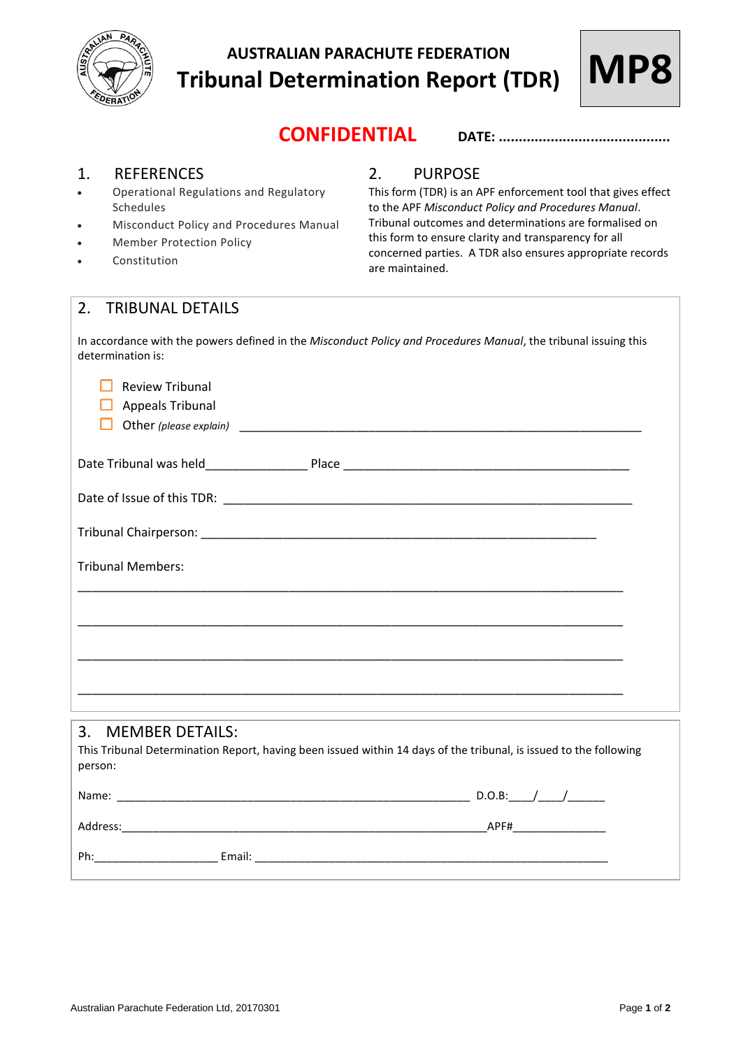

# **AUSTRALIAN PARACHUTE FEDERATION Tribunal Determination Report (TDR)**



## **CONFIDENTIAL DATE: ...........................................**

#### 1. REFERENCES

- Operational Regulations and Regulatory Schedules
- Misconduct Policy and Procedures Manual
- Member Protection Policy
- **Constitution**

#### 2. PURPOSE

This form (TDR) is an APF enforcement tool that gives effect to the APF *Misconduct Policy and Procedures Manual*. Tribunal outcomes and determinations are formalised on this form to ensure clarity and transparency for all concerned parties. A TDR also ensures appropriate records are maintained.

### 2. TRIBUNAL DETAILS

In accordance with the powers defined in the *Misconduct Policy and Procedures Manual*, the tribunal issuing this determination is:

| <b>Review Tribunal</b>                                                                                                       |  |
|------------------------------------------------------------------------------------------------------------------------------|--|
| <b>Appeals Tribunal</b>                                                                                                      |  |
|                                                                                                                              |  |
|                                                                                                                              |  |
|                                                                                                                              |  |
|                                                                                                                              |  |
| <b>Tribunal Members:</b>                                                                                                     |  |
|                                                                                                                              |  |
|                                                                                                                              |  |
|                                                                                                                              |  |
| ,我们也不能在这里的时候,我们也不能在这里的时候,我们也不能会在这里,我们也不能会不能会不能会不能会不能会不能会。""我们,我们也不能会不能会不能会不能会不能会                                             |  |
| <b>MEMBER DETAILS:</b><br>3.                                                                                                 |  |
| This Tribunal Determination Report, having been issued within 14 days of the tribunal, is issued to the following<br>person: |  |
|                                                                                                                              |  |
|                                                                                                                              |  |
|                                                                                                                              |  |
|                                                                                                                              |  |